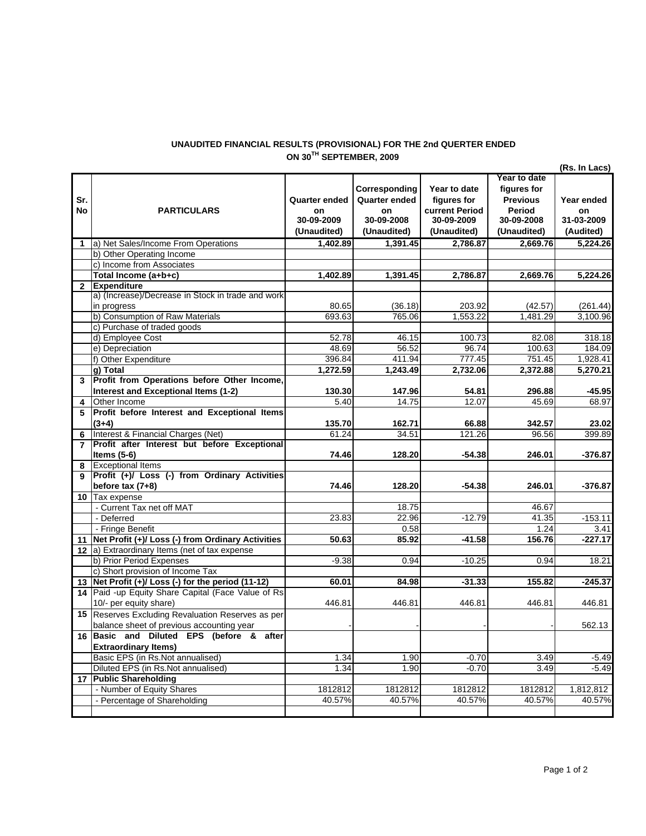## **UNAUDITED FINANCIAL RESULTS (PROVISIONAL) FOR THE 2nd QUERTER ENDED ON 30TH SEPTEMBER, 2009**

|              |                                                                                    |                                                  |                                                                          |                                                                            |                                                                                       | (Rs. In Lacs)                               |
|--------------|------------------------------------------------------------------------------------|--------------------------------------------------|--------------------------------------------------------------------------|----------------------------------------------------------------------------|---------------------------------------------------------------------------------------|---------------------------------------------|
| Sr.<br>No    | <b>PARTICULARS</b>                                                                 | Quarter ended<br>on<br>30-09-2009<br>(Unaudited) | Corresponding<br><b>Quarter ended</b><br>on<br>30-09-2008<br>(Unaudited) | Year to date<br>figures for<br>current Period<br>30-09-2009<br>(Unaudited) | Year to date<br>figures for<br><b>Previous</b><br>Period<br>30-09-2008<br>(Unaudited) | Year ended<br>on<br>31-03-2009<br>(Audited) |
| $\mathbf{1}$ | a) Net Sales/Income From Operations                                                | 1,402.89                                         | 1,391.45                                                                 | 2,786.87                                                                   | 2,669.76                                                                              | 5,224.26                                    |
|              | b) Other Operating Income                                                          |                                                  |                                                                          |                                                                            |                                                                                       |                                             |
|              | c) Income from Associates                                                          |                                                  |                                                                          |                                                                            |                                                                                       |                                             |
|              | Total Income (a+b+c)                                                               | 1,402.89                                         | 1,391.45                                                                 | 2,786.87                                                                   | 2,669.76                                                                              | 5,224.26                                    |
| $\mathbf{2}$ | <b>Expenditure</b>                                                                 |                                                  |                                                                          |                                                                            |                                                                                       |                                             |
|              | a) (Increase)/Decrease in Stock in trade and work                                  |                                                  |                                                                          |                                                                            |                                                                                       |                                             |
|              | in progress                                                                        | 80.65                                            | (36.18)                                                                  | 203.92                                                                     | (42.57)                                                                               | (261.44)                                    |
|              | b) Consumption of Raw Materials                                                    | 693.63                                           | 765.06                                                                   | 1,553.22                                                                   | 1,481.29                                                                              | 3,100.96                                    |
|              | c) Purchase of traded goods                                                        |                                                  |                                                                          |                                                                            |                                                                                       |                                             |
|              | d) Employee Cost                                                                   | 52.78                                            | 46.15                                                                    | 100.73                                                                     | 82.08                                                                                 | 318.18                                      |
|              | e) Depreciation                                                                    | 48.69                                            | 56.52                                                                    | 96.74                                                                      | 100.63                                                                                | 184.09                                      |
|              | f) Other Expenditure                                                               | 396.84                                           | 411.94                                                                   | 777.45                                                                     | 751.45                                                                                | 1,928.41                                    |
|              | g) Total                                                                           | 1,272.59                                         | 1,243.49                                                                 | 2,732.06                                                                   | 2,372.88                                                                              | 5,270.21                                    |
| 3            | Profit from Operations before Other Income,                                        |                                                  |                                                                          |                                                                            |                                                                                       |                                             |
|              | Interest and Exceptional Items (1-2)                                               | 130.30                                           | 147.96                                                                   | 54.81                                                                      | 296.88                                                                                | $-45.95$                                    |
| 4            | Other Income                                                                       | 5.40                                             | 14.75                                                                    | 12.07                                                                      | 45.69                                                                                 | 68.97                                       |
| 5            | Profit before Interest and Exceptional Items                                       |                                                  |                                                                          |                                                                            |                                                                                       |                                             |
|              | $(3+4)$                                                                            | 135.70                                           | 162.71                                                                   | 66.88                                                                      | 342.57                                                                                | 23.02                                       |
| 6            | Interest & Financial Charges (Net)<br>Profit after Interest but before Exceptional | 61.24                                            | 34.51                                                                    | 121.26                                                                     | 96.56                                                                                 | 399.89                                      |
|              |                                                                                    | 74.46                                            | 128.20                                                                   | $-54.38$                                                                   |                                                                                       |                                             |
|              | <b>Items (5-6)</b><br><b>Exceptional Items</b>                                     |                                                  |                                                                          |                                                                            | 246.01                                                                                | -376.87                                     |
| 8            | Profit (+)/ Loss (-) from Ordinary Activities                                      |                                                  |                                                                          |                                                                            |                                                                                       |                                             |
|              | before $tax(7+8)$                                                                  | 74.46                                            | 128.20                                                                   | -54.38                                                                     | 246.01                                                                                | -376.87                                     |
| 10           | Tax expense                                                                        |                                                  |                                                                          |                                                                            |                                                                                       |                                             |
|              | - Current Tax net off MAT                                                          |                                                  | 18.75                                                                    |                                                                            | 46.67                                                                                 |                                             |
|              | - Deferred                                                                         | 23.83                                            | 22.96                                                                    | $-12.79$                                                                   | 41.35                                                                                 | $-153.11$                                   |
|              | - Fringe Benefit                                                                   |                                                  | 0.58                                                                     |                                                                            | 1.24                                                                                  | 3.41                                        |
| 11           | Net Profit (+)/ Loss (-) from Ordinary Activities                                  | 50.63                                            | 85.92                                                                    | $-41.58$                                                                   | 156.76                                                                                | $-227.17$                                   |
|              | 12 a) Extraordinary Items (net of tax expense                                      |                                                  |                                                                          |                                                                            |                                                                                       |                                             |
|              | b) Prior Period Expenses                                                           | $-9.38$                                          | 0.94                                                                     | $-10.25$                                                                   | 0.94                                                                                  | 18.21                                       |
|              | c) Short provision of Income Tax                                                   |                                                  |                                                                          |                                                                            |                                                                                       |                                             |
|              | 13   Net Profit $(+)/$ Loss $(-)$ for the period (11-12)                           | 60.01                                            | 84.98                                                                    | $-31.33$                                                                   | 155.82                                                                                | $-245.37$                                   |
|              | 14 Paid -up Equity Share Capital (Face Value of Rs                                 |                                                  |                                                                          |                                                                            |                                                                                       |                                             |
|              | 10/- per equity share)                                                             | 446.81                                           | 446.81                                                                   | 446.81                                                                     | 446.81                                                                                | 446.81                                      |
| 15           | Reserves Excluding Revaluation Reserves as per                                     |                                                  |                                                                          |                                                                            |                                                                                       |                                             |
|              | balance sheet of previous accounting year                                          |                                                  |                                                                          |                                                                            |                                                                                       | 562.13                                      |
|              | 16 Basic and Diluted EPS (before & after                                           |                                                  |                                                                          |                                                                            |                                                                                       |                                             |
|              | <b>Extraordinary Items)</b>                                                        |                                                  |                                                                          |                                                                            |                                                                                       |                                             |
|              | Basic EPS (in Rs.Not annualised)                                                   | 1.34                                             | 1.90                                                                     | $-0.70$                                                                    | 3.49                                                                                  | $-5.49$                                     |
|              | Diluted EPS (in Rs.Not annualised)                                                 | 1.34                                             | 1.90                                                                     | $-0.70$                                                                    | 3.49                                                                                  | $-5.49$                                     |
| 17           | <b>Public Shareholding</b>                                                         |                                                  |                                                                          |                                                                            |                                                                                       |                                             |
|              | - Number of Equity Shares                                                          | 1812812                                          | 1812812                                                                  | 1812812                                                                    | 1812812                                                                               | 1,812,812                                   |
|              | - Percentage of Shareholding                                                       | 40.57%                                           | 40.57%                                                                   | 40.57%                                                                     | 40.57%                                                                                | 40.57%                                      |
|              |                                                                                    |                                                  |                                                                          |                                                                            |                                                                                       |                                             |